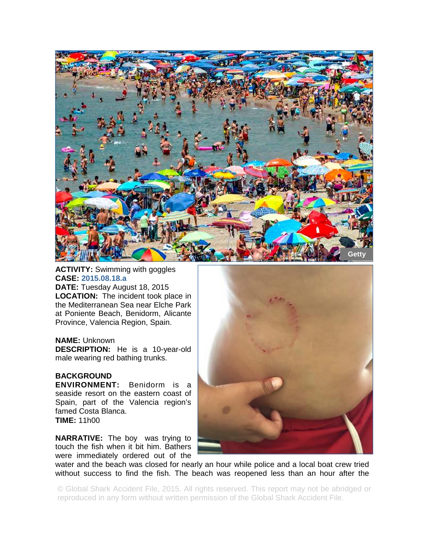

## **ACTIVITY:** Swimming with goggles **CASE: 2015.08.18.a**

**DATE:** Tuesday August 18, 2015 **LOCATION:** The incident took place in the Mediterranean Sea near Elche Park at Poniente Beach, Benidorm, Alicante Province, Valencia Region, Spain.

## **NAME:** Unknown

**DESCRIPTION:** He is a 10-year-old male wearing red bathing trunks.

## **BACKGROUND**

**ENVIRONMENT:** Benidorm is a seaside resort on the eastern coast of Spain, part of the Valencia region's famed Costa Blanca. **TIME:** 11h00

**NARRATIVE:** The boy was trying to touch the fish when it bit him. Bathers were immediately ordered out of the



water and the beach was closed for nearly an hour while police and a local boat crew tried without success to find the fish. The beach was reopened less than an hour after the

© Global Shark Accident File, 2015. All rights reserved. This report may not be abridged or reproduced in any form without written permission of the Global Shark Accident File.